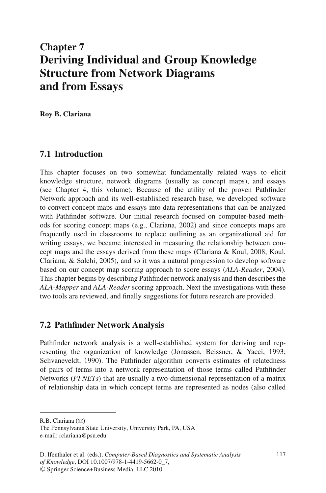# **Chapter 7 Deriving Individual and Group Knowledge Structure from Network Diagrams and from Essays**

**Roy B. Clariana**

# **7.1 Introduction**

This chapter focuses on two somewhat fundamentally related ways to elicit knowledge structure, network diagrams (usually as concept maps), and essays (see Chapter 4, this volume). Because of the utility of the proven Pathfinder Network approach and its well-established research base, we developed software to convert concept maps and essays into data representations that can be analyzed with Pathfinder software. Our initial research focused on computer-based methods for scoring concept maps (e.g., Clariana, 2002) and since concepts maps are frequently used in classrooms to replace outlining as an organizational aid for writing essays, we became interested in measuring the relationship between concept maps and the essays derived from these maps (Clariana & Koul, [2008;](#page-12-0) Koul, Clariana, & Salehi, [2005\)](#page-13-0), and so it was a natural progression to develop software based on our concept map scoring approach to score essays (*ALA-Reader*, 2004). This chapter begins by describing Pathfinder network analysis and then describes the *ALA-Mapper* and *ALA-Reader* scoring approach. Next the investigations with these two tools are reviewed, and finally suggestions for future research are provided.

## **7.2 Pathfinder Network Analysis**

Pathfinder network analysis is a well-established system for deriving and representing the organization of knowledge (Jonassen, Beissner, & Yacci, [1993;](#page-13-1) Schvaneveldt, [1990\)](#page-13-2). The Pathfinder algorithm converts estimates of relatedness of pairs of terms into a network representation of those terms called Pathfinder Networks (*PFNETs*) that are usually a two-dimensional representation of a matrix of relationship data in which concept terms are represented as nodes (also called

*of Knowledge*, DOI 10.1007/978-1-4419-5662-0\_7,

R.B. Clariana  $(\boxtimes)$ 

The Pennsylvania State University, University Park, PA, USA e-mail: rclariana@psu.edu

D. Ifenthaler et al. (eds.), *Computer-Based Diagnostics and Systematic Analysis* 117

<sup>-</sup>C Springer Science+Business Media, LLC 2010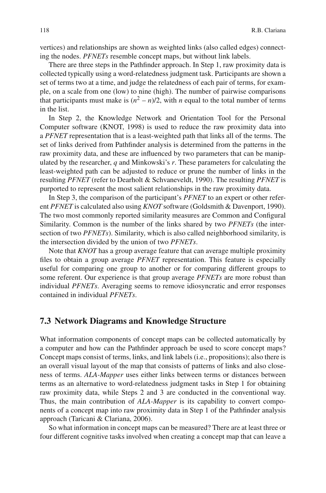vertices) and relationships are shown as weighted links (also called edges) connecting the nodes. *PFNETs* resemble concept maps, but without link labels.

There are three steps in the Pathfinder approach. In Step 1, raw proximity data is collected typically using a word-relatedness judgment task. Participants are shown a set of terms two at a time, and judge the relatedness of each pair of terms, for example, on a scale from one (low) to nine (high). The number of pairwise comparisons that participants must make is  $(n^2 - n)/2$ , with *n* equal to the total number of terms in the list.

In Step 2, the Knowledge Network and Orientation Tool for the Personal Computer software (KNOT, 1998) is used to reduce the raw proximity data into a *PFNET* representation that is a least-weighted path that links all of the terms. The set of links derived from Pathfinder analysis is determined from the patterns in the raw proximity data, and these are influenced by two parameters that can be manipulated by the researcher, *q* and Minkowski's *r*. These parameters for calculating the least-weighted path can be adjusted to reduce or prune the number of links in the resulting *PFNET* (refer to Dearholt & Schvaneveldt, [1990\)](#page-13-3). The resulting *PFNET* is purported to represent the most salient relationships in the raw proximity data.

In Step 3, the comparison of the participant's *PFNET* to an expert or other referent *PFNET* is calculated also using *KNOT* software (Goldsmith & Davenport, [1990\)](#page-13-4). The two most commonly reported similarity measures are Common and Configural Similarity. Common is the number of the links shared by two *PFNETs* (the intersection of two *PFNETs*). Similarity, which is also called neighborhood similarity, is the intersection divided by the union of two *PFNETs*.

Note that *KNOT* has a group average feature that can average multiple proximity files to obtain a group average *PFNET* representation. This feature is especially useful for comparing one group to another or for comparing different groups to some referent. Our experience is that group average *PFNETs* are more robust than individual *PFNETs*. Averaging seems to remove idiosyncratic and error responses contained in individual *PFNETs*.

#### **7.3 Network Diagrams and Knowledge Structure**

What information components of concept maps can be collected automatically by a computer and how can the Pathfinder approach be used to score concept maps? Concept maps consist of terms, links, and link labels (i.e., propositions); also there is an overall visual layout of the map that consists of patterns of links and also closeness of terms. *ALA-Mapper* uses either links between terms or distances between terms as an alternative to word-relatedness judgment tasks in Step 1 for obtaining raw proximity data, while Steps 2 and 3 are conducted in the conventional way. Thus, the main contribution of *ALA-Mapper* is its capability to convert components of a concept map into raw proximity data in Step 1 of the Pathfinder analysis approach (Taricani & Clariana, [2006\)](#page-13-5).

So what information in concept maps can be measured? There are at least three or four different cognitive tasks involved when creating a concept map that can leave a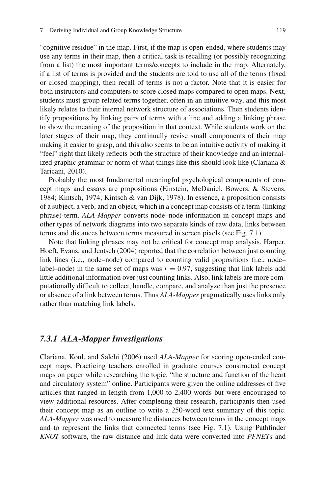"cognitive residue" in the map. First, if the map is open-ended, where students may use any terms in their map, then a critical task is recalling (or possibly recognizing from a list) the most important terms/concepts to include in the map. Alternately, if a list of terms is provided and the students are told to use all of the terms (fixed or closed mapping), then recall of terms is not a factor. Note that it is easier for both instructors and computers to score closed maps compared to open maps. Next, students must group related terms together, often in an intuitive way, and this most likely relates to their internal network structure of associations. Then students identify propositions by linking pairs of terms with a line and adding a linking phrase to show the meaning of the proposition in that context. While students work on the later stages of their map, they continually revise small components of their map making it easier to grasp, and this also seems to be an intuitive activity of making it "feel" right that likely reflects both the structure of their knowledge and an internalized graphic grammar or norm of what things like this should look like (Clariana & Taricani, 2010).

Probably the most fundamental meaningful psychological components of concept maps and essays are propositions (Einstein, McDaniel, Bowers, & Stevens, [1984;](#page-13-6) Kintsch, [1974;](#page-13-7) Kintsch & van Dijk, 1978). In essence, a proposition consists of a subject, a verb, and an object, which in a concept map consists of a term-(linking phrase)-term. *ALA-Mapper* converts node–node information in concept maps and other types of network diagrams into two separate kinds of raw data, links between terms and distances between terms measured in screen pixels (see Fig. [7.1\)](#page-3-0).

Note that linking phrases may not be critical for concept map analysis. Harper, Hoeft, Evans, and Jentsch [\(2004\)](#page-13-8) reported that the correlation between just counting link lines (i.e., node–node) compared to counting valid propositions (i.e., node– label–node) in the same set of maps was  $r = 0.97$ , suggesting that link labels add little additional information over just counting links. Also, link labels are more computationally difficult to collect, handle, compare, and analyze than just the presence or absence of a link between terms. Thus *ALA-Mapper* pragmatically uses links only rather than matching link labels.

#### *7.3.1 ALA-Mapper Investigations*

Clariana, Koul, and Salehi [\(2006\)](#page-12-1) used *ALA-Mapper* for scoring open-ended concept maps. Practicing teachers enrolled in graduate courses constructed concept maps on paper while researching the topic, "the structure and function of the heart and circulatory system" online. Participants were given the online addresses of five articles that ranged in length from 1,000 to 2,400 words but were encouraged to view additional resources. After completing their research, participants then used their concept map as an outline to write a 250-word text summary of this topic. *ALA-Mapper* was used to measure the distances between terms in the concept maps and to represent the links that connected terms (see Fig. [7.1\)](#page-3-0). Using Pathfinder *KNOT* software, the raw distance and link data were converted into *PFNETs* and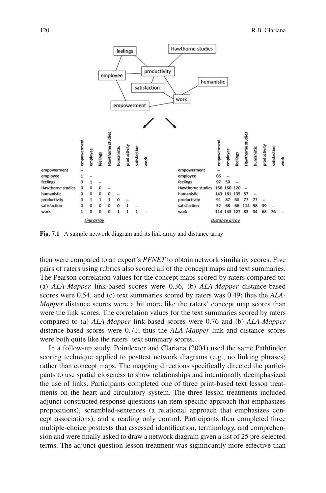<span id="page-3-0"></span>

**Fig. 7.1** A sample network diagram and its link array and distance array

then were compared to an expert's *PFNET* to obtain network similarity scores. Five pairs of raters using rubrics also scored all of the concept maps and text summaries. The Pearson correlation values for the concept maps scored by raters compared to: (a) *ALA-Mapper* link-based scores were 0.36, (b) *ALA-Mapper* distance-based scores were 0.54, and (c) text summaries scored by raters was 0.49; thus the *ALA-Mapper* distance scores were a bit more like the raters' concept map scores than were the link scores. The correlation values for the text summaries scored by raters compared to (a) *ALA-Mapper* link-based scores were 0.76 and (b) *ALA-Mapper* distance-based scores were 0.71; thus the *ALA-Mapper* link and distance scores were both quite like the raters' text summary scores.

In a follow-up study, Poindexter and Clariana (2004) used the same Pathfinder scoring technique applied to posttest network diagrams (e.g., no linking phrases) rather than concept maps. The mapping directions specifically directed the participants to use spatial closeness to show relationships and intentionally deemphasized the use of links. Participants completed one of three print-based text lesson treatments on the heart and circulatory system. The three lesson treatments included adjunct constructed response questions (an item-specific approach that emphasizes propositions), scrambled-sentences (a relational approach that emphasizes concept associations), and a reading only control. Participants then completed three multiple-choice posttests that assessed identification, terminology, and comprehension and were finally asked to draw a network diagram given a list of 25 pre-selected terms. The adjunct question lesson treatment was significantly more effective than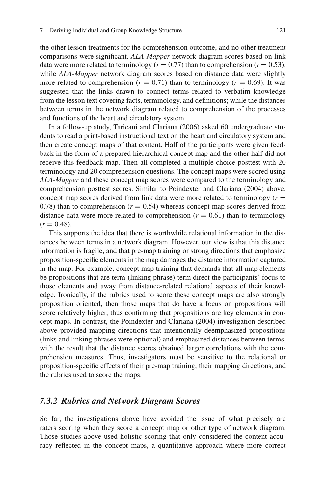the other lesson treatments for the comprehension outcome, and no other treatment comparisons were significant. *ALA-Mapper* network diagram scores based on link data were more related to terminology  $(r = 0.77)$  than to comprehension  $(r = 0.53)$ , while *ALA-Mapper* network diagram scores based on distance data were slightly more related to comprehension ( $r = 0.71$ ) than to terminology ( $r = 0.69$ ). It was suggested that the links drawn to connect terms related to verbatim knowledge from the lesson text covering facts, terminology, and definitions; while the distances between terms in the network diagram related to comprehension of the processes and functions of the heart and circulatory system.

In a follow-up study, Taricani and Clariana [\(2006\)](#page-13-5) asked 60 undergraduate students to read a print-based instructional text on the heart and circulatory system and then create concept maps of that content. Half of the participants were given feedback in the form of a prepared hierarchical concept map and the other half did not receive this feedback map. Then all completed a multiple-choice posttest with 20 terminology and 20 comprehension questions. The concept maps were scored using *ALA-Mapper* and these concept map scores were compared to the terminology and comprehension posttest scores. Similar to Poindexter and Clariana (2004) above, concept map scores derived from link data were more related to terminology  $(r =$ 0.78) than to comprehension  $(r = 0.54)$  whereas concept map scores derived from distance data were more related to comprehension  $(r = 0.61)$  than to terminology  $(r = 0.48)$ .

This supports the idea that there is worthwhile relational information in the distances between terms in a network diagram. However, our view is that this distance information is fragile, and that pre-map training or strong directions that emphasize proposition-specific elements in the map damages the distance information captured in the map. For example, concept map training that demands that all map elements be propositions that are term-(linking phrase)-term direct the participants' focus to those elements and away from distance-related relational aspects of their knowledge. Ironically, if the rubrics used to score these concept maps are also strongly proposition oriented, then those maps that do have a focus on propositions will score relatively higher, thus confirming that propositions are key elements in concept maps. In contrast, the Poindexter and Clariana (2004) investigation described above provided mapping directions that intentionally deemphasized propositions (links and linking phrases were optional) and emphasized distances between terms, with the result that the distance scores obtained larger correlations with the comprehension measures. Thus, investigators must be sensitive to the relational or proposition-specific effects of their pre-map training, their mapping directions, and the rubrics used to score the maps.

#### *7.3.2 Rubrics and Network Diagram Scores*

So far, the investigations above have avoided the issue of what precisely are raters scoring when they score a concept map or other type of network diagram. Those studies above used holistic scoring that only considered the content accuracy reflected in the concept maps, a quantitative approach where more correct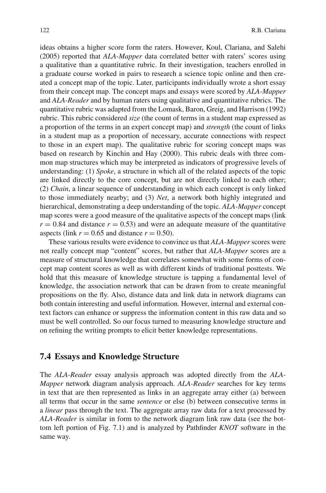ideas obtains a higher score form the raters. However, Koul, Clariana, and Salehi (2005) reported that *ALA-Mapper* data correlated better with raters' scores using a qualitative than a quantitative rubric. In their investigation, teachers enrolled in a graduate course worked in pairs to research a science topic online and then created a concept map of the topic. Later, participants individually wrote a short essay from their concept map. The concept maps and essays were scored by *ALA-Mapper* and *ALA-Reader* and by human raters using qualitative and quantitative rubrics. The quantitative rubric was adapted from the Lomask, Baron, Greig, and Harrison (1992) rubric. This rubric considered *size* (the count of terms in a student map expressed as a proportion of the terms in an expert concept map) and *strength* (the count of links in a student map as a proportion of necessary, accurate connections with respect to those in an expert map). The qualitative rubric for scoring concept maps was based on research by Kinchin and Hay [\(2000\)](#page-13-9). This rubric deals with three common map structures which may be interpreted as indicators of progressive levels of understanding: (1) *Spoke*, a structure in which all of the related aspects of the topic are linked directly to the core concept, but are not directly linked to each other; (2) *Chain*, a linear sequence of understanding in which each concept is only linked to those immediately nearby; and (3) *Net*, a network both highly integrated and hierarchical, demonstrating a deep understanding of the topic. *ALA-Mapper* concept map scores were a good measure of the qualitative aspects of the concept maps (link  $r = 0.84$  and distance  $r = 0.53$ ) and were an adequate measure of the quantitative aspects (link  $r = 0.65$  and distance  $r = 0.50$ ).

These various results were evidence to convince us that *ALA-Mapper* scores were not really concept map "content" scores, but rather that *ALA-Mapper* scores are a measure of structural knowledge that correlates somewhat with some forms of concept map content scores as well as with different kinds of traditional posttests. We hold that this measure of knowledge structure is tapping a fundamental level of knowledge, the association network that can be drawn from to create meaningful propositions on the fly. Also, distance data and link data in network diagrams can both contain interesting and useful information. However, internal and external context factors can enhance or suppress the information content in this raw data and so must be well controlled. So our focus turned to measuring knowledge structure and on refining the writing prompts to elicit better knowledge representations.

#### **7.4 Essays and Knowledge Structure**

The *ALA-Reader* essay analysis approach was adopted directly from the *ALA-Mapper* network diagram analysis approach. *ALA-Reader* searches for key terms in text that are then represented as links in an aggregate array either (a) between all terms that occur in the same *sentence* or else (b) between consecutive terms in a *linear* pass through the text. The aggregate array raw data for a text processed by *ALA-Reader* is similar in form to the network diagram link raw data (see the bottom left portion of Fig. [7.1\)](#page-3-0) and is analyzed by Pathfinder *KNOT* software in the same way.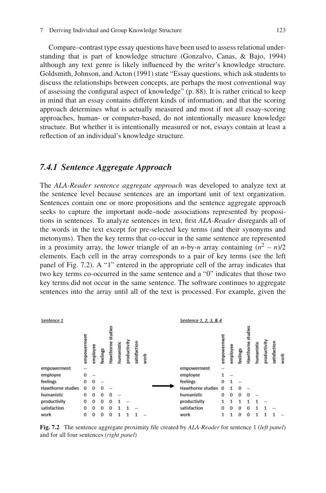Compare–contrast type essay questions have been used to assess relational understanding that is part of knowledge structure (Gonzalvo, Canas, & Bajo, [1994\)](#page-13-10) although any text genre is likely influenced by the writer's knowledge structure. Goldsmith, Johnson, and Acton [\(1991\)](#page-13-11) state "Essay questions, which ask students to discuss the relationships between concepts, are perhaps the most conventional way of assessing the configural aspect of knowledge" (p. 88). It is rather critical to keep in mind that an essay contains different kinds of information, and that the scoring approach determines what is actually measured and most if not all essay-scoring approaches, human- or computer-based, do not intentionally measure knowledge structure. But whether it is intentionally measured or not, essays contain at least a reflection of an individual's knowledge structure.

#### *7.4.1 Sentence Aggregate Approach*

The *ALA-Reader sentence aggregate approach* was developed to analyze text at the sentence level because sentences are an important unit of text organization. Sentences contain one or more propositions and the sentence aggregate approach seeks to capture the important node–node associations represented by propositions in sentences. To analyze sentences in text, first *ALA-Reader* disregards all of the words in the text except for pre-selected key terms (and their synonyms and metonyms). Then the key terms that co-occur in the same sentence are represented in a proximity array, the lower triangle of an *n*-by-*n* array containing  $(n^2 - n)/2$ elements. Each cell in the array corresponds to a pair of key terms (see the left panel of Fig. [7.2\)](#page-6-0). A "1" entered in the appropriate cell of the array indicates that two key terms co-occurred in the same sentence and a "0" indicates that those two key terms did not occur in the same sentence. The software continues to aggregate sentences into the array until all of the text is processed. For example, given the

<span id="page-6-0"></span>

**Fig. 7.2** The sentence aggregate proximity file created by *ALA-Reader* for sentence 1 (*left panel*) and for all four sentences (*right panel*)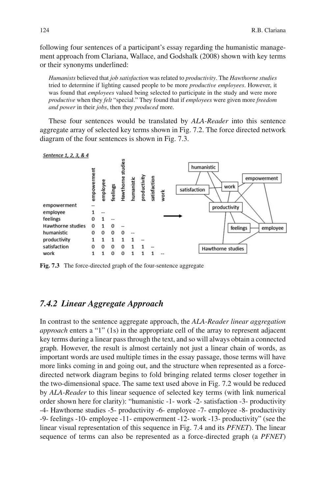following four sentences of a participant's essay regarding the humanistic management approach from Clariana, Wallace, and Godshalk [\(2008\)](#page-13-12) shown with key terms or their synonyms underlined:

*Humanists* believed that *job satisfaction* was related to *productivity*. The *Hawthorne studies* tried to determine if lighting caused people to be more *productive employees*. However, it was found that *employees* valued being selected to participate in the study and were more *productive* when they *felt* "special." They found that if *employees* were given more *freedom and power* in their *jobs*, then they *produced* more.

These four sentences would be translated by *ALA-Reader* into this sentence aggregate array of selected key terms shown in Fig. [7.2.](#page-6-0) The force directed network diagram of the four sentences is shown in Fig. [7.3.](#page-7-0)

<span id="page-7-0"></span>

**Fig. 7.3** The force-directed graph of the four-sentence aggregate

## *7.4.2 Linear Aggregate Approach*

In contrast to the sentence aggregate approach, the *ALA-Reader linear aggregation approach* enters a "1" (1s) in the appropriate cell of the array to represent adjacent key terms during a linear pass through the text, and so will always obtain a connected graph. However, the result is almost certainly not just a linear chain of words, as important words are used multiple times in the essay passage, those terms will have more links coming in and going out, and the structure when represented as a forcedirected network diagram begins to fold bringing related terms closer together in the two-dimensional space. The same text used above in Fig. [7.2](#page-6-0) would be reduced by *ALA-Reader* to this linear sequence of selected key terms (with link numerical order shown here for clarity): "humanistic -1- work -2- satisfaction -3- productivity -4- Hawthorne studies -5- productivity -6- employee -7- employee -8- productivity -9- feelings -10- employee -11- empowerment -12- work -13- productivity" (see the linear visual representation of this sequence in Fig. [7.4](#page-8-0) and its *PFNET*). The linear sequence of terms can also be represented as a force-directed graph (a *PFNET*)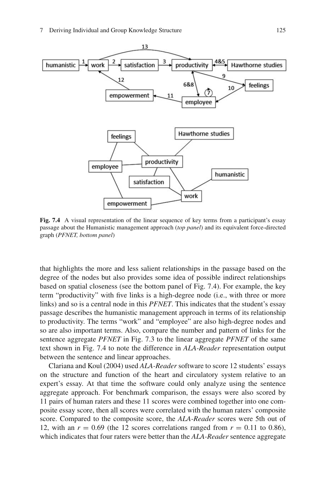<span id="page-8-0"></span>

**Fig. 7.4** A visual representation of the linear sequence of key terms from a participant's essay passage about the Humanistic management approach (*top panel*) and its equivalent force-directed graph (*PFNET, bottom panel*)

that highlights the more and less salient relationships in the passage based on the degree of the nodes but also provides some idea of possible indirect relationships based on spatial closeness (see the bottom panel of Fig. [7.4\)](#page-8-0). For example, the key term "productivity" with five links is a high-degree node (i.e., with three or more links) and so is a central node in this *PFNET*. This indicates that the student's essay passage describes the humanistic management approach in terms of its relationship to productivity. The terms "work" and "employee" are also high-degree nodes and so are also important terms. Also, compare the number and pattern of links for the sentence aggregate *PFNET* in Fig. [7.3](#page-7-0) to the linear aggregate *PFNET* of the same text shown in Fig. [7.4](#page-8-0) to note the difference in *ALA-Reader* representation output between the sentence and linear approaches.

Clariana and Koul (2004) used *ALA-Reader* software to score 12 students' essays on the structure and function of the heart and circulatory system relative to an expert's essay. At that time the software could only analyze using the sentence aggregate approach. For benchmark comparison, the essays were also scored by 11 pairs of human raters and these 11 scores were combined together into one composite essay score, then all scores were correlated with the human raters' composite score. Compared to the composite score, the *ALA-Reader* scores were 5th out of 12, with an  $r = 0.69$  (the 12 scores correlations ranged from  $r = 0.11$  to 0.86), which indicates that four raters were better than the *ALA-Reader* sentence aggregate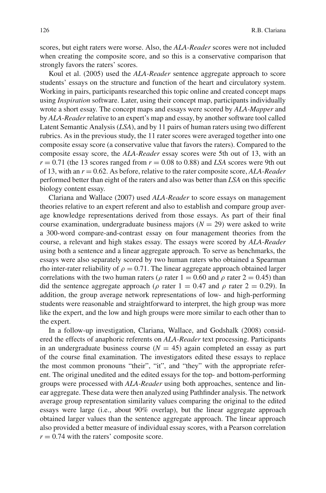scores, but eight raters were worse. Also, the *ALA-Reader* scores were not included when creating the composite score, and so this is a conservative comparison that strongly favors the raters' scores.

Koul et al. [\(2005\)](#page-13-0) used the *ALA-Reader* sentence aggregate approach to score students' essays on the structure and function of the heart and circulatory system. Working in pairs, participants researched this topic online and created concept maps using *Inspiration* software. Later, using their concept map, participants individually wrote a short essay. The concept maps and essays were scored by *ALA-Mapper* and by *ALA-Reader* relative to an expert's map and essay, by another software tool called Latent Semantic Analysis (*LSA*), and by 11 pairs of human raters using two different rubrics. As in the previous study, the 11 rater scores were averaged together into one composite essay score (a conservative value that favors the raters). Compared to the composite essay score, the *ALA-Reader* essay scores were 5th out of 13, with an  $r = 0.71$  (the 13 scores ranged from  $r = 0.08$  to 0.88) and *LSA* scores were 9th out of 13, with an *r* = 0.62. As before, relative to the rater composite score, *ALA-Reader* performed better than eight of the raters and also was better than *LSA* on this specific biology content essay.

Clariana and Wallace [\(2007\)](#page-12-2) used *ALA-Reader* to score essays on management theories relative to an expert referent and also to establish and compare group average knowledge representations derived from those essays. As part of their final course examination, undergraduate business majors  $(N = 29)$  were asked to write a 300-word compare-and-contrast essay on four management theories from the course, a relevant and high stakes essay. The essays were scored by *ALA-Reader* using both a sentence and a linear aggregate approach. To serve as benchmarks, the essays were also separately scored by two human raters who obtained a Spearman rho inter-rater reliability of  $\rho = 0.71$ . The linear aggregate approach obtained larger correlations with the two human raters ( $\rho$  rater 1 = 0.60 and  $\rho$  rater 2 = 0.45) than did the sentence aggregate approach ( $\rho$  rater 1 = 0.47 and  $\rho$  rater 2 = 0.29). In addition, the group average network representations of low- and high-performing students were reasonable and straightforward to interpret, the high group was more like the expert, and the low and high groups were more similar to each other than to the expert.

In a follow-up investigation, Clariana, Wallace, and Godshalk [\(2008\)](#page-13-12) considered the effects of anaphoric referents on *ALA-Reader* text processing. Participants in an undergraduate business course  $(N = 45)$  again completed an essay as part of the course final examination. The investigators edited these essays to replace the most common pronouns "their", "it", and "they" with the appropriate referent. The original unedited and the edited essays for the top- and bottom-performing groups were processed with *ALA-Reader* using both approaches, sentence and linear aggregate. These data were then analyzed using Pathfinder analysis. The network average group representation similarity values comparing the original to the edited essays were large (i.e., about 90% overlap), but the linear aggregate approach obtained larger values than the sentence aggregate approach. The linear approach also provided a better measure of individual essay scores, with a Pearson correlation  $r = 0.74$  with the raters' composite score.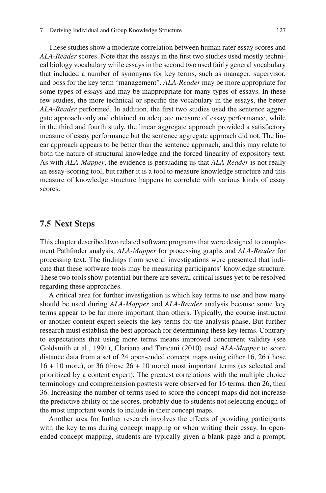These studies show a moderate correlation between human rater essay scores and *ALA-Reader* scores. Note that the essays in the first two studies used mostly technical biology vocabulary while essays in the second two used fairly general vocabulary that included a number of synonyms for key terms, such as manager, supervisor, and boss for the key term "management". *ALA-Reader* may be more appropriate for some types of essays and may be inappropriate for many types of essays. In these few studies, the more technical or specific the vocabulary in the essays, the better *ALA-Reader* performed. In addition, the first two studies used the sentence aggregate approach only and obtained an adequate measure of essay performance, while in the third and fourth study, the linear aggregate approach provided a satisfactory measure of essay performance but the sentence aggregate approach did not. The linear approach appears to be better than the sentence approach, and this may relate to both the nature of structural knowledge and the forced linearity of expository text. As with *ALA-Mapper*, the evidence is persuading us that *ALA-Reader* is not really an essay-scoring tool, but rather it is a tool to measure knowledge structure and this measure of knowledge structure happens to correlate with various kinds of essay scores.

### **7.5 Next Steps**

This chapter described two related software programs that were designed to complement Pathfinder analysis, *ALA-Mapper* for processing graphs and *ALA-Reader* for processing text. The findings from several investigations were presented that indicate that these software tools may be measuring participants' knowledge structure. These two tools show potential but there are several critical issues yet to be resolved regarding these approaches.

A critical area for further investigation is which key terms to use and how many should be used during *ALA-Mapper* and *ALA-Reader* analysis because some key terms appear to be far more important than others. Typically, the course instructor or another content expert selects the key terms for the analysis phase. But further research must establish the best approach for determining these key terms. Contrary to expectations that using more terms means improved concurrent validity (see Goldsmith et al., [1991\)](#page-13-11), Clariana and Taricani (2010) used *ALA-Mapper* to score distance data from a set of 24 open-ended concept maps using either 16, 26 (those  $16 + 10$  more), or 36 (those  $26 + 10$  more) most important terms (as selected and prioritized by a content expert). The greatest correlations with the multiple choice terminology and comprehension posttests were observed for 16 terms, then 26, then 36. Increasing the number of terms used to score the concept maps did not increase the predictive ability of the scores, probably due to students not selecting enough of the most important words to include in their concept maps.

Another area for further research involves the effects of providing participants with the key terms during concept mapping or when writing their essay. In openended concept mapping, students are typically given a blank page and a prompt,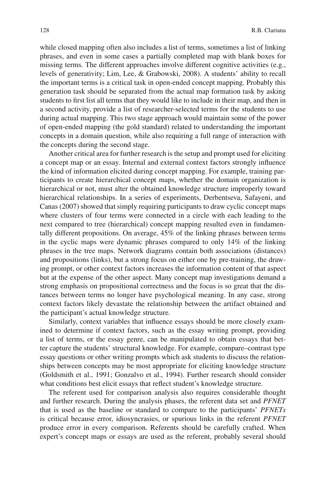while closed mapping often also includes a list of terms, sometimes a list of linking phrases, and even in some cases a partially completed map with blank boxes for missing terms. The different approaches involve different cognitive activities (e.g., levels of generativity; Lim, Lee, & Grabowski, [2008\)](#page-13-13). A students' ability to recall the important terms is a critical task in open-ended concept mapping. Probably this generation task should be separated from the actual map formation task by asking students to first list all terms that they would like to include in their map, and then in a second activity, provide a list of researcher-selected terms for the students to use during actual mapping. This two stage approach would maintain some of the power of open-ended mapping (the gold standard) related to understanding the important concepts in a domain question, while also requiring a full range of interaction with the concepts during the second stage.

Another critical area for further research is the setup and prompt used for eliciting a concept map or an essay. Internal and external context factors strongly influence the kind of information elicited during concept mapping. For example, training participants to create hierarchical concept maps, whether the domain organization is hierarchical or not, must alter the obtained knowledge structure improperly toward hierarchical relationships. In a series of experiments, Derbentseva, Safayeni, and Canas [\(2007\)](#page-13-14) showed that simply requiring participants to draw cyclic concept maps where clusters of four terms were connected in a circle with each leading to the next compared to tree (hierarchical) concept mapping resulted even in fundamentally different propositions. On average, 45% of the linking phrases between terms in the cyclic maps were dynamic phrases compared to only 14% of the linking phrases in the tree maps. Network diagrams contain both associations (distances) and propositions (links), but a strong focus on either one by pre-training, the drawing prompt, or other context factors increases the information content of that aspect but at the expense of the other aspect. Many concept map investigations demand a strong emphasis on propositional correctness and the focus is so great that the distances between terms no longer have psychological meaning. In any case, strong context factors likely devastate the relationship between the artifact obtained and the participant's actual knowledge structure.

Similarly, context variables that influence essays should be more closely examined to determine if context factors, such as the essay writing prompt, providing a list of terms, or the essay genre, can be manipulated to obtain essays that better capture the students' structural knowledge. For example, compare–contrast type essay questions or other writing prompts which ask students to discuss the relationships between concepts may be most appropriate for eliciting knowledge structure (Goldsmith et al., [1991;](#page-13-11) Gonzalvo et al., [1994\)](#page-13-10). Further research should consider what conditions best elicit essays that reflect student's knowledge structure.

The referent used for comparison analysis also requires considerable thought and further research. During the analysis phases, the referent data set and *PFNET* that is used as the baseline or standard to compare to the participants' *PFNETs* is critical because error, idiosyncrasies, or spurious links in the referent *PFNET* produce error in every comparison. Referents should be carefully crafted. When expert's concept maps or essays are used as the referent, probably several should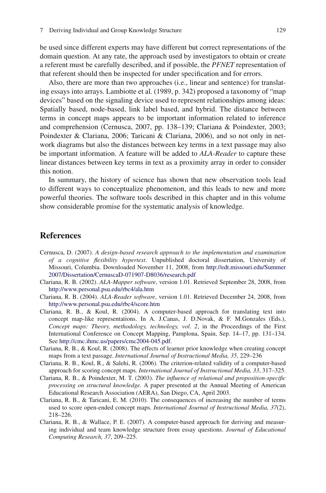be used since different experts may have different but correct representations of the domain question. At any rate, the approach used by investigators to obtain or create a referent must be carefully described, and if possible, the *PFNET* representation of that referent should then be inspected for under specification and for errors.

Also, there are more than two approaches (i.e., linear and sentence) for translating essays into arrays. Lambiotte et al. (1989, p. 342) proposed a taxonomy of "map devices" based on the signaling device used to represent relationships among ideas: Spatially based, node-based, link label based, and hybrid. The distance between terms in concept maps appears to be important information related to inference and comprehension (Cernusca, 2007, pp. 138–139; Clariana & Poindexter, 2003; Poindexter & Clariana, [2006;](#page-13-15) Taricani & Clariana, 2006), and so not only in network diagrams but also the distances between key terms in a text passage may also be important information. A feature will be added to *ALA-Reader* to capture these linear distances between key terms in text as a proximity array in order to consider this notion.

In summary, the history of science has shown that new observation tools lead to different ways to conceptualize phenomenon, and this leads to new and more powerful theories. The software tools described in this chapter and in this volume show considerable promise for the systematic analysis of knowledge.

## **References**

- Cernusca, D. (2007). *A design-based research approach to the implementation and examination of a cognitive flexibility hypertext*. Unpublished doctoral dissertation, University of Missouri, Columbia. Downloaded November 11, 2008, from http://edt.missouri.edu/Summer 2007/Dissertation/CernuscaD-071907-D8036/research.pdf
- Clariana, R. B. (2002). *ALA-Mapper software*, version 1.01. Retrieved September 28, 2008, from http://www.personal.psu.edu/rbc4/ala.htm
- Clariana, R. B. (2004). *ALA-Reader software*, version 1.01. Retrieved December 24, 2008, from http://www.personal.psu.edu/rbc4/score.htm
- Clariana, R. B., & Koul, R. (2004). A computer-based approach for translating text into concept map-like representations. In A. J.Canas, J. D.Novak, & F. M.Gonzales (Eds.), *Concept maps: Theory, methodology, technology, vol. 2*, in the Proceedings of the First International Conference on Concept Mapping, Pamplona, Spain, Sep. 14–17, pp. 131–134. See http://cmc.ihmc.us/papers/cmc2004-045.pdf.
- Clariana, R. B., & Koul, R. (2008). The effects of learner prior knowledge when creating concept maps from a text passage. *International Journal of Instructional Media, 35*, 229–236
- <span id="page-12-0"></span>Clariana, R. B., Koul, R., & Salehi, R. (2006). The criterion-related validity of a computer-based approach for scoring concept maps. *International Journal of Instructional Media, 33*, 317–325.
- <span id="page-12-1"></span>Clariana, R. B., & Poindexter, M. T. (2003). *The influence of relational and proposition-specific processing on structural knowledge.* A paper presented at the Annual Meeting of American Educational Research Association (AERA), San Diego, CA, April 2003.
- Clariana, R. B., & Taricani, E. M. (2010). The consequences of increasing the number of terms used to score open-ended concept maps. *International Journal of Instructional Media, 37*(2), 218–226.
- <span id="page-12-2"></span>Clariana, R. B., & Wallace, P. E. (2007). A computer-based approach for deriving and measuring individual and team knowledge structure from essay questions. *Journal of Educational Computing Research, 37*, 209–225.